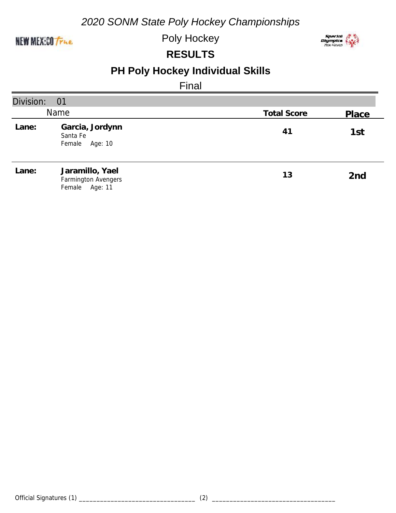#### NEW MEXICO True

Poly Hockey



#### **RESULTS**

# **PH Poly Hockey Individual Skills**

Final

| Division: | 01                                                          |                    |                 |
|-----------|-------------------------------------------------------------|--------------------|-----------------|
|           | Name                                                        | <b>Total Score</b> | Place           |
| Lane:     | Garcia, Jordynn<br>Santa Fe<br>Female Age: 10               | 41                 | 1st             |
| Lane:     | Jaramillo, Yael<br>Farmington Avengers<br>Female<br>Age: 11 | 13                 | 2 <sub>nd</sub> |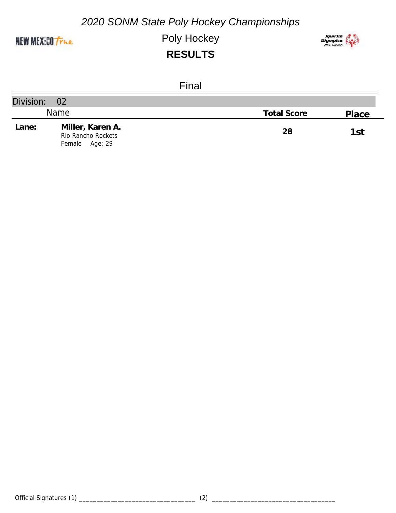

Poly Hockey



|              | Final                                                    |                    |       |
|--------------|----------------------------------------------------------|--------------------|-------|
| Division: 02 |                                                          |                    |       |
|              | <b>Name</b>                                              | <b>Total Score</b> | Place |
| Lane:        | Miller, Karen A.<br>Rio Rancho Rockets<br>Female Age: 29 | 28                 | 1st   |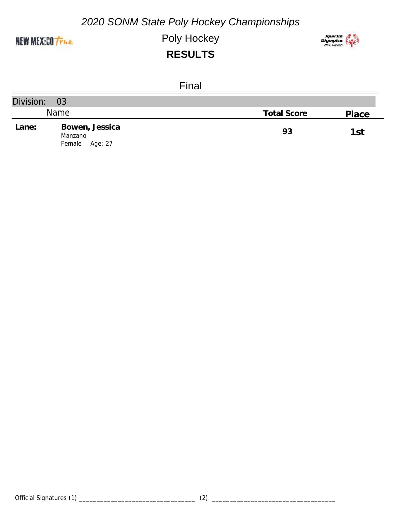

Poly Hockey



|              | Final                                          |                    |       |
|--------------|------------------------------------------------|--------------------|-------|
| Division: 03 |                                                |                    |       |
|              | <b>Name</b>                                    | <b>Total Score</b> | Place |
| Lane:        | Bowen, Jessica<br>Manzano<br>Female<br>Age: 27 | 93                 | 1st   |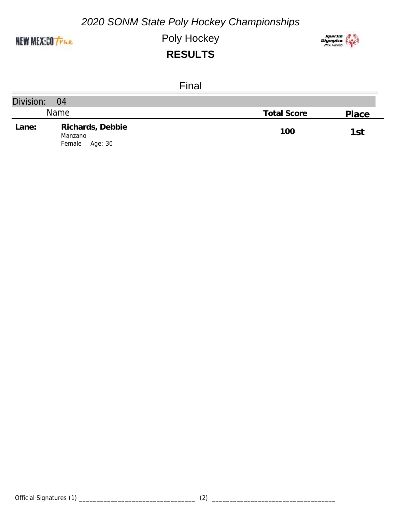

Poly Hockey



|              | Final                                            |                    |       |
|--------------|--------------------------------------------------|--------------------|-------|
| Division: 04 |                                                  |                    |       |
|              | <b>Name</b>                                      | <b>Total Score</b> | Place |
| Lane:        | Richards, Debbie<br>Manzano<br>Female<br>Age: 30 | 100                | 1st   |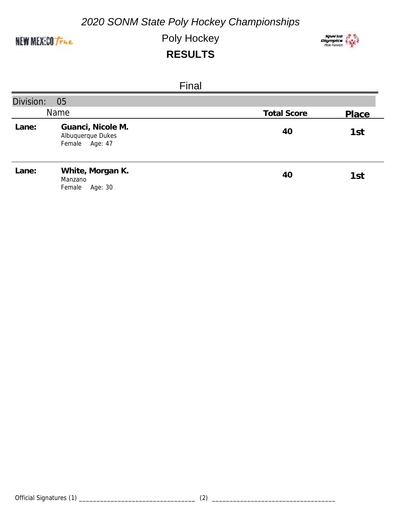

Poly Hockey



|           | Final                                                    |                    |       |
|-----------|----------------------------------------------------------|--------------------|-------|
| Division: | 05                                                       |                    |       |
|           | Name                                                     | <b>Total Score</b> | Place |
| Lane:     | Guanci, Nicole M.<br>Albuquerque Dukes<br>Female Age: 47 | 40                 | 1st   |
| Lane:     | White, Morgan K.<br>Manzano<br>Female<br>Age: 30         | 40                 | 1st   |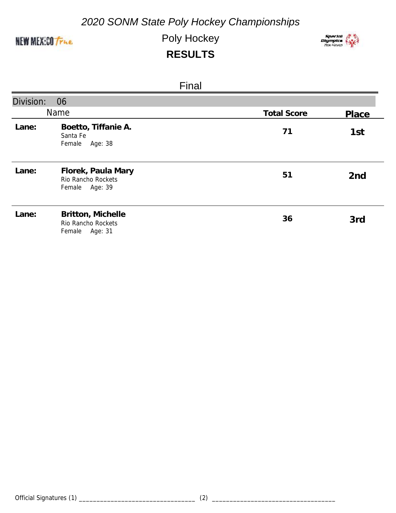

Poly Hockey



|           | Final                                                         |                    |                 |
|-----------|---------------------------------------------------------------|--------------------|-----------------|
| Division: | 06                                                            |                    |                 |
|           | <b>Name</b>                                                   | <b>Total Score</b> | Place           |
| Lane:     | Boetto, Tiffanie A.<br>Santa Fe<br>Female<br>Age: 38          | 71                 | 1st             |
| Lane:     | Florek, Paula Mary<br>Rio Rancho Rockets<br>Female<br>Age: 39 | 51                 | 2 <sub>nd</sub> |
| Lane:     | Britton, Michelle<br>Rio Rancho Rockets<br>Female<br>Age: 31  | 36                 | 3rd             |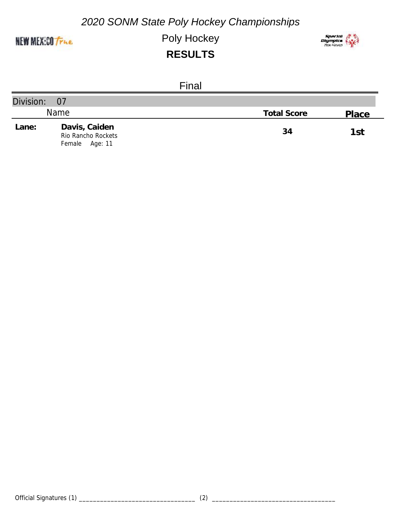

Poly Hockey



|              | Final                                                    |                    |       |
|--------------|----------------------------------------------------------|--------------------|-------|
| Division: 07 |                                                          |                    |       |
|              | <b>Name</b>                                              | <b>Total Score</b> | Place |
| Lane:        | Davis, Caiden<br>Rio Rancho Rockets<br>Age: 11<br>Female | 34                 | 1st   |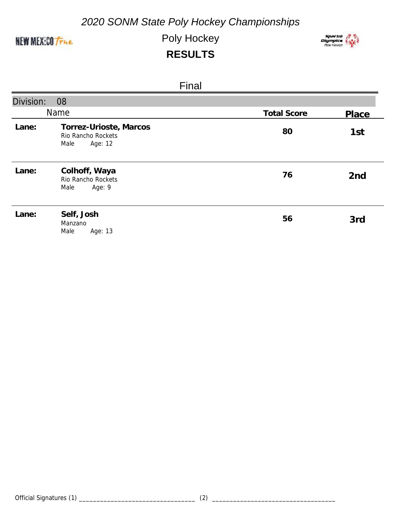

Poly Hockey



|           | <b>Final</b>                                                    |                    |                 |
|-----------|-----------------------------------------------------------------|--------------------|-----------------|
| Division: | 08                                                              |                    |                 |
|           | Name                                                            | <b>Total Score</b> | Place           |
| Lane:     | Torrez-Urioste, Marcos<br>Rio Rancho Rockets<br>Male<br>Age: 12 | 80                 | 1st             |
| Lane:     | Colhoff, Waya<br>Rio Rancho Rockets<br>Age: 9<br>Male           | 76                 | 2 <sub>nd</sub> |
| Lane:     | Self, Josh<br>Manzano<br>Male<br>Age: 13                        | 56                 | 3rd             |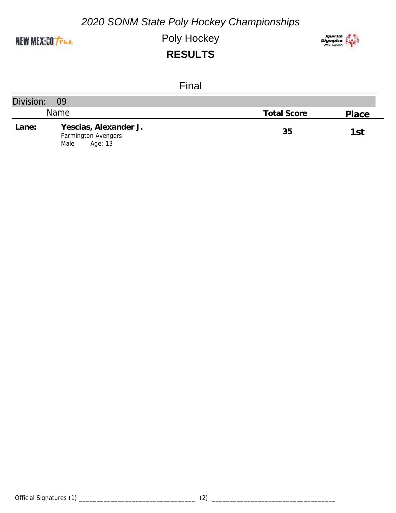

Poly Hockey



|           | Final                                                           |                    |       |
|-----------|-----------------------------------------------------------------|--------------------|-------|
| Division: | 09                                                              |                    |       |
|           | <b>Name</b>                                                     | <b>Total Score</b> | Place |
| Lane:     | Yescias, Alexander J.<br>Farmington Avengers<br>Age: 13<br>Male | 35                 | 1st   |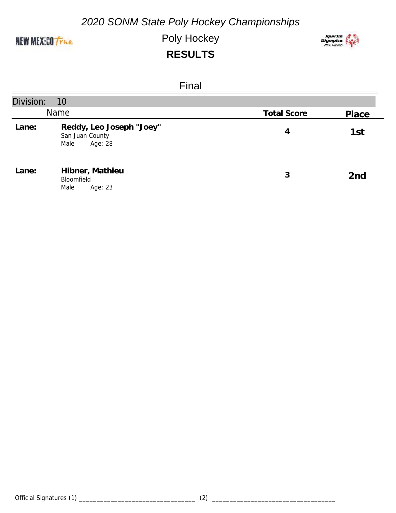

Poly Hockey



|           | Final                                                          |                    |                 |
|-----------|----------------------------------------------------------------|--------------------|-----------------|
| Division: | 10                                                             |                    |                 |
|           | Name                                                           | <b>Total Score</b> | Place           |
| Lane:     | Reddy, Leo Joseph "Joey"<br>San Juan County<br>Male<br>Age: 28 | 4                  | 1st             |
| Lane:     | Hibner, Mathieu<br>Bloomfield<br>Male<br>Age: 23               | 3                  | 2 <sub>nd</sub> |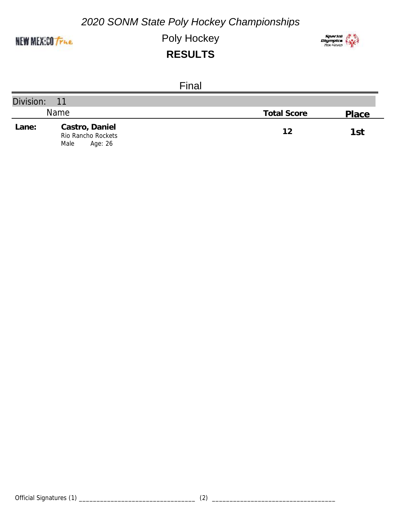

Poly Hockey



|              | Final                                                   |                    |       |
|--------------|---------------------------------------------------------|--------------------|-------|
| Division: 11 |                                                         |                    |       |
|              | Name                                                    | <b>Total Score</b> | Place |
| Lane:        | Castro, Daniel<br>Rio Rancho Rockets<br>Male<br>Age: 26 | 12                 | 1st   |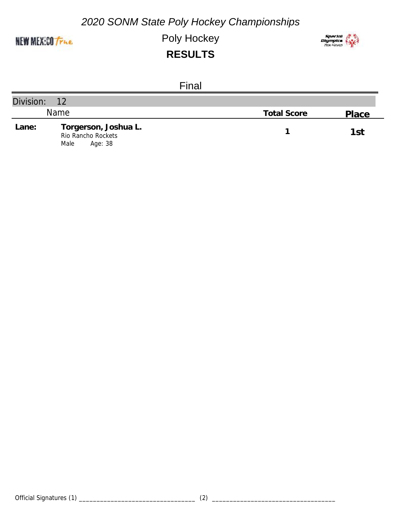

Poly Hockey



|           | Final                                                         |                    |       |
|-----------|---------------------------------------------------------------|--------------------|-------|
| Division: | $-12$                                                         |                    |       |
|           | <b>Name</b>                                                   | <b>Total Score</b> | Place |
| Lane:     | Torgerson, Joshua L.<br>Rio Rancho Rockets<br>Age: 38<br>Male |                    | 1st   |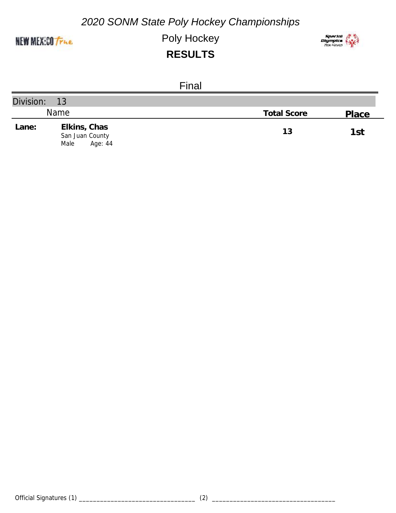

Poly Hockey



|           | Final                                              |                    |       |
|-----------|----------------------------------------------------|--------------------|-------|
| Division: | 13                                                 |                    |       |
|           | <b>Name</b>                                        | <b>Total Score</b> | Place |
| Lane:     | Elkins, Chas<br>San Juan County<br>Age: 44<br>Male | 13                 | 1st   |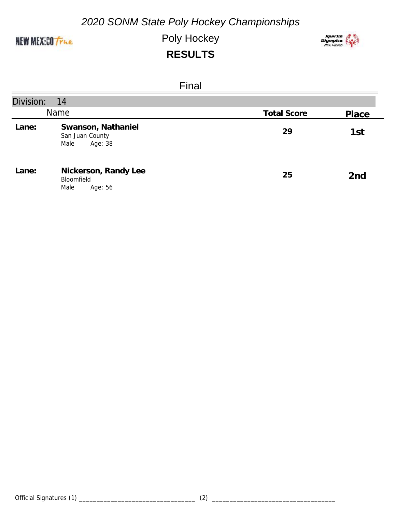

Poly Hockey



| Final     |                                                          |                    |                 |  |  |
|-----------|----------------------------------------------------------|--------------------|-----------------|--|--|
| Division: | 14                                                       |                    |                 |  |  |
| Name      |                                                          | <b>Total Score</b> | Place           |  |  |
| Lane:     | Swanson, Nathaniel<br>San Juan County<br>Age: 38<br>Male | 29                 | 1st             |  |  |
| Lane:     | Nickerson, Randy Lee<br>Bloomfield<br>Male<br>Age: 56    | 25                 | 2 <sub>nd</sub> |  |  |